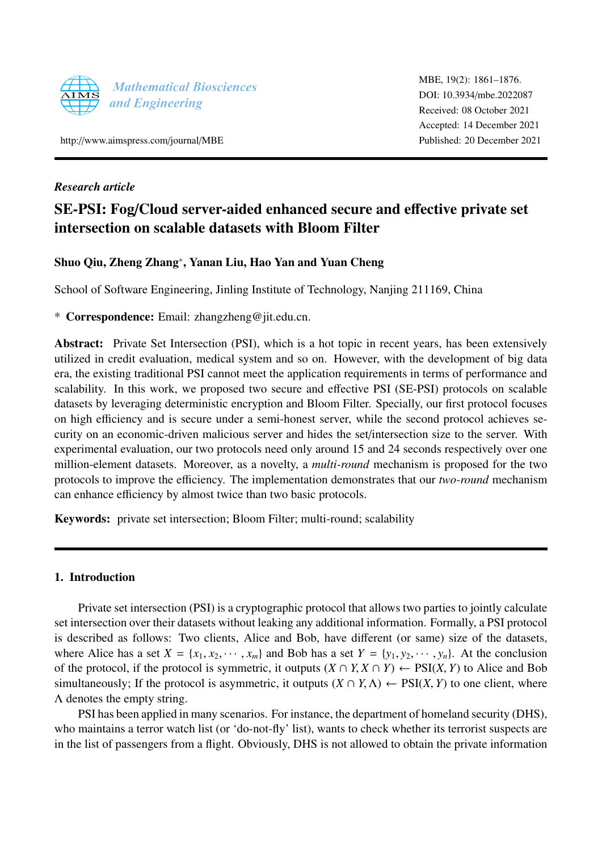

http://[www.aimspress.com](http://http://www.aimspress.com/journal/MBE)/journal/MBE

## *Research article*

# SE-PSI: Fog/Cloud server-aided enhanced secure and effective private set intersection on scalable datasets with Bloom Filter

## Shuo Qiu, Zheng Zhang\*, Yanan Liu, Hao Yan and Yuan Cheng

School of Software Engineering, Jinling Institute of Technology, Nanjing 211169, China

\* Correspondence: Email: zhangzheng@jit.edu.cn.

Abstract: Private Set Intersection (PSI), which is a hot topic in recent years, has been extensively utilized in credit evaluation, medical system and so on. However, with the development of big data era, the existing traditional PSI cannot meet the application requirements in terms of performance and scalability. In this work, we proposed two secure and effective PSI (SE-PSI) protocols on scalable datasets by leveraging deterministic encryption and Bloom Filter. Specially, our first protocol focuses on high efficiency and is secure under a semi-honest server, while the second protocol achieves security on an economic-driven malicious server and hides the set/intersection size to the server. With experimental evaluation, our two protocols need only around 15 and 24 seconds respectively over one million-element datasets. Moreover, as a novelty, a *multi-round* mechanism is proposed for the two protocols to improve the efficiency. The implementation demonstrates that our *two-round* mechanism can enhance efficiency by almost twice than two basic protocols.

Keywords: private set intersection; Bloom Filter; multi-round; scalability

### <span id="page-0-0"></span>1. Introduction

Private set intersection (PSI) is a cryptographic protocol that allows two parties to jointly calculate set intersection over their datasets without leaking any additional information. Formally, a PSI protocol is described as follows: Two clients, Alice and Bob, have different (or same) size of the datasets, where Alice has a set  $X = \{x_1, x_2, \dots, x_m\}$  and Bob has a set  $Y = \{y_1, y_2, \dots, y_n\}$ . At the conclusion of the protocol, if the protocol is symmetric, it outputs  $(X \cap Y, X \cap Y) \leftarrow \text{PSI}(X, Y)$  to Alice and Bob simultaneously; If the protocol is asymmetric, it outputs  $(X \cap Y, \Lambda) \leftarrow \text{PSI}(X, Y)$  to one client, where Λ denotes the empty string.

PSI has been applied in many scenarios. For instance, the department of homeland security (DHS), who maintains a terror watch list (or 'do-not-fly' list), wants to check whether its terrorist suspects are in the list of passengers from a flight. Obviously, DHS is not allowed to obtain the private information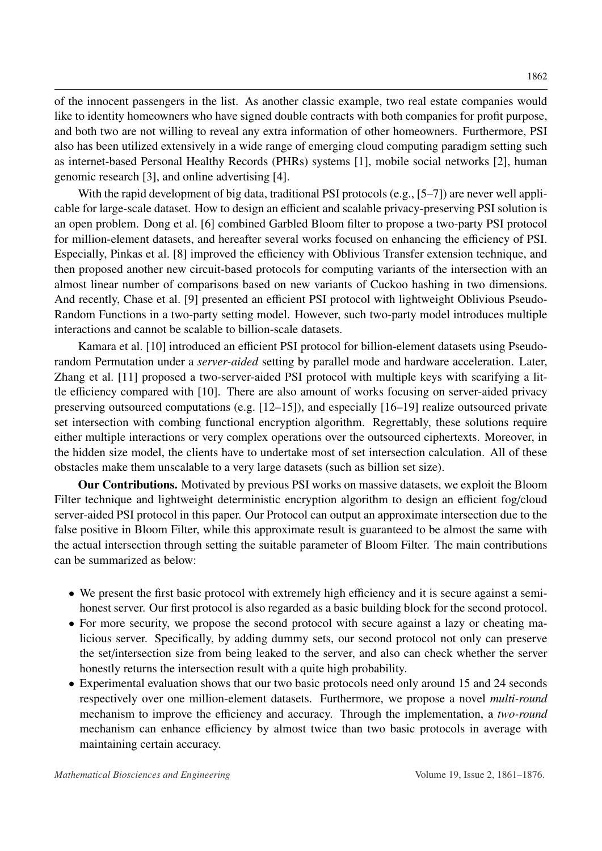of the innocent passengers in the list. As another classic example, two real estate companies would like to identity homeowners who have signed double contracts with both companies for profit purpose, and both two are not willing to reveal any extra information of other homeowners. Furthermore, PSI also has been utilized extensively in a wide range of emerging cloud computing paradigm setting such as internet-based Personal Healthy Records (PHRs) systems [\[1\]](#page-13-0), mobile social networks [\[2\]](#page-13-1), human genomic research [\[3\]](#page-13-2), and online advertising [\[4\]](#page-13-3).

With the rapid development of big data, traditional PSI protocols (e.g., [\[5](#page-13-4)[–7\]](#page-13-5)) are never well applicable for large-scale dataset. How to design an efficient and scalable privacy-preserving PSI solution is an open problem. Dong et al. [\[6\]](#page-13-6) combined Garbled Bloom filter to propose a two-party PSI protocol for million-element datasets, and hereafter several works focused on enhancing the efficiency of PSI. Especially, Pinkas et al. [\[8\]](#page-14-0) improved the efficiency with Oblivious Transfer extension technique, and then proposed another new circuit-based protocols for computing variants of the intersection with an almost linear number of comparisons based on new variants of Cuckoo hashing in two dimensions. And recently, Chase et al. [\[9\]](#page-14-1) presented an efficient PSI protocol with lightweight Oblivious Pseudo-Random Functions in a two-party setting model. However, such two-party model introduces multiple interactions and cannot be scalable to billion-scale datasets.

Kamara et al. [\[10\]](#page-14-2) introduced an efficient PSI protocol for billion-element datasets using Pseudorandom Permutation under a *server-aided* setting by parallel mode and hardware acceleration. Later, Zhang et al. [\[11\]](#page-14-3) proposed a two-server-aided PSI protocol with multiple keys with scarifying a little efficiency compared with [\[10\]](#page-14-2). There are also amount of works focusing on server-aided privacy preserving outsourced computations (e.g. [\[12](#page-14-4)[–15\]](#page-14-5)), and especially [\[16](#page-14-6)[–19\]](#page-14-7) realize outsourced private set intersection with combing functional encryption algorithm. Regrettably, these solutions require either multiple interactions or very complex operations over the outsourced ciphertexts. Moreover, in the hidden size model, the clients have to undertake most of set intersection calculation. All of these obstacles make them unscalable to a very large datasets (such as billion set size).

Our Contributions. Motivated by previous PSI works on massive datasets, we exploit the Bloom Filter technique and lightweight deterministic encryption algorithm to design an efficient fog/cloud server-aided PSI protocol in this paper. Our Protocol can output an approximate intersection due to the false positive in Bloom Filter, while this approximate result is guaranteed to be almost the same with the actual intersection through setting the suitable parameter of Bloom Filter. The main contributions can be summarized as below:

- We present the first basic protocol with extremely high efficiency and it is secure against a semihonest server. Our first protocol is also regarded as a basic building block for the second protocol.
- For more security, we propose the second protocol with secure against a lazy or cheating malicious server. Specifically, by adding dummy sets, our second protocol not only can preserve the set/intersection size from being leaked to the server, and also can check whether the server honestly returns the intersection result with a quite high probability.
- Experimental evaluation shows that our two basic protocols need only around 15 and 24 seconds respectively over one million-element datasets. Furthermore, we propose a novel *multi-round* mechanism to improve the efficiency and accuracy. Through the implementation, a *two-round* mechanism can enhance efficiency by almost twice than two basic protocols in average with maintaining certain accuracy.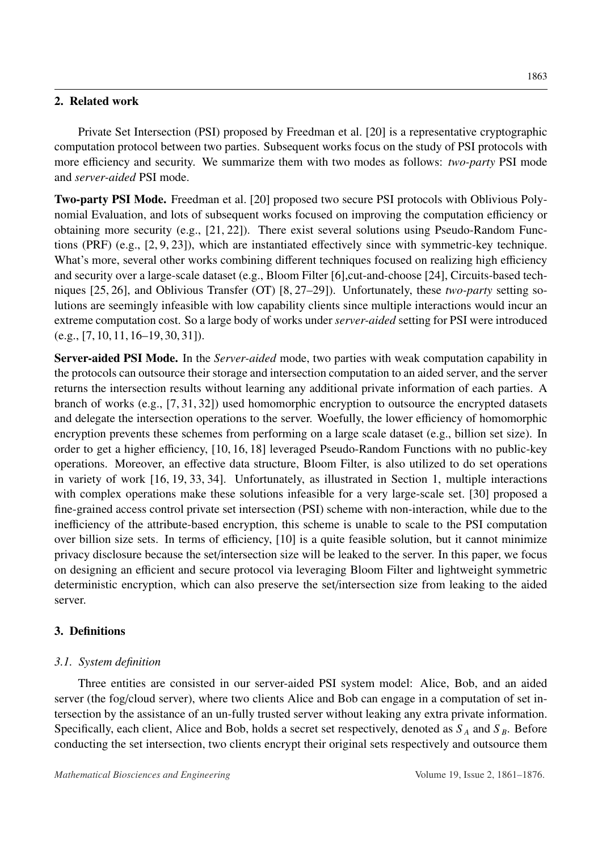## 2. Related work

Private Set Intersection (PSI) proposed by Freedman et al. [\[20\]](#page-14-8) is a representative cryptographic computation protocol between two parties. Subsequent works focus on the study of PSI protocols with more efficiency and security. We summarize them with two modes as follows: *two-party* PSI mode and *server-aided* PSI mode.

Two-party PSI Mode. Freedman et al. [\[20\]](#page-14-8) proposed two secure PSI protocols with Oblivious Polynomial Evaluation, and lots of subsequent works focused on improving the computation efficiency or obtaining more security (e.g., [\[21,](#page-14-9) [22\]](#page-14-10)). There exist several solutions using Pseudo-Random Functions (PRF) (e.g., [\[2,](#page-13-1) [9,](#page-14-1) [23\]](#page-14-11)), which are instantiated effectively since with symmetric-key technique. What's more, several other works combining different techniques focused on realizing high efficiency and security over a large-scale dataset (e.g., Bloom Filter [\[6\]](#page-13-6),cut-and-choose [\[24\]](#page-15-0), Circuits-based techniques [\[25,](#page-15-1) [26\]](#page-15-2), and Oblivious Transfer (OT) [\[8,](#page-14-0) [27](#page-15-3)[–29\]](#page-15-4)). Unfortunately, these *two-party* setting solutions are seemingly infeasible with low capability clients since multiple interactions would incur an extreme computation cost. So a large body of works under *server-aided* setting for PSI were introduced  $(e.g., [7, 10, 11, 16–19, 30, 31]).$  $(e.g., [7, 10, 11, 16–19, 30, 31]).$  $(e.g., [7, 10, 11, 16–19, 30, 31]).$  $(e.g., [7, 10, 11, 16–19, 30, 31]).$  $(e.g., [7, 10, 11, 16–19, 30, 31]).$  $(e.g., [7, 10, 11, 16–19, 30, 31]).$  $(e.g., [7, 10, 11, 16–19, 30, 31]).$  $(e.g., [7, 10, 11, 16–19, 30, 31]).$  $(e.g., [7, 10, 11, 16–19, 30, 31]).$  $(e.g., [7, 10, 11, 16–19, 30, 31]).$  $(e.g., [7, 10, 11, 16–19, 30, 31]).$  $(e.g., [7, 10, 11, 16–19, 30, 31]).$  $(e.g., [7, 10, 11, 16–19, 30, 31]).$  $(e.g., [7, 10, 11, 16–19, 30, 31]).$ 

Server-aided PSI Mode. In the *Server-aided* mode, two parties with weak computation capability in the protocols can outsource their storage and intersection computation to an aided server, and the server returns the intersection results without learning any additional private information of each parties. A branch of works (e.g., [\[7,](#page-13-5) [31,](#page-15-6) [32\]](#page-15-7)) used homomorphic encryption to outsource the encrypted datasets and delegate the intersection operations to the server. Woefully, the lower efficiency of homomorphic encryption prevents these schemes from performing on a large scale dataset (e.g., billion set size). In order to get a higher efficiency, [\[10,](#page-14-2) [16,](#page-14-6) [18\]](#page-14-12) leveraged Pseudo-Random Functions with no public-key operations. Moreover, an effective data structure, Bloom Filter, is also utilized to do set operations in variety of work [\[16,](#page-14-6) [19,](#page-14-7) [33,](#page-15-8) [34\]](#page-15-9). Unfortunately, as illustrated in Section [1,](#page-0-0) multiple interactions with complex operations make these solutions infeasible for a very large-scale set. [\[30\]](#page-15-5) proposed a fine-grained access control private set intersection (PSI) scheme with non-interaction, while due to the inefficiency of the attribute-based encryption, this scheme is unable to scale to the PSI computation over billion size sets. In terms of efficiency, [\[10\]](#page-14-2) is a quite feasible solution, but it cannot minimize privacy disclosure because the set/intersection size will be leaked to the server. In this paper, we focus on designing an efficient and secure protocol via leveraging Bloom Filter and lightweight symmetric deterministic encryption, which can also preserve the set/intersection size from leaking to the aided server.

## 3. Definitions

## *3.1. System definition*

Three entities are consisted in our server-aided PSI system model: Alice, Bob, and an aided server (the fog/cloud server), where two clients Alice and Bob can engage in a computation of set intersection by the assistance of an un-fully trusted server without leaking any extra private information. Specifically, each client, Alice and Bob, holds a secret set respectively, denoted as  $S_A$  and  $S_B$ . Before conducting the set intersection, two clients encrypt their original sets respectively and outsource them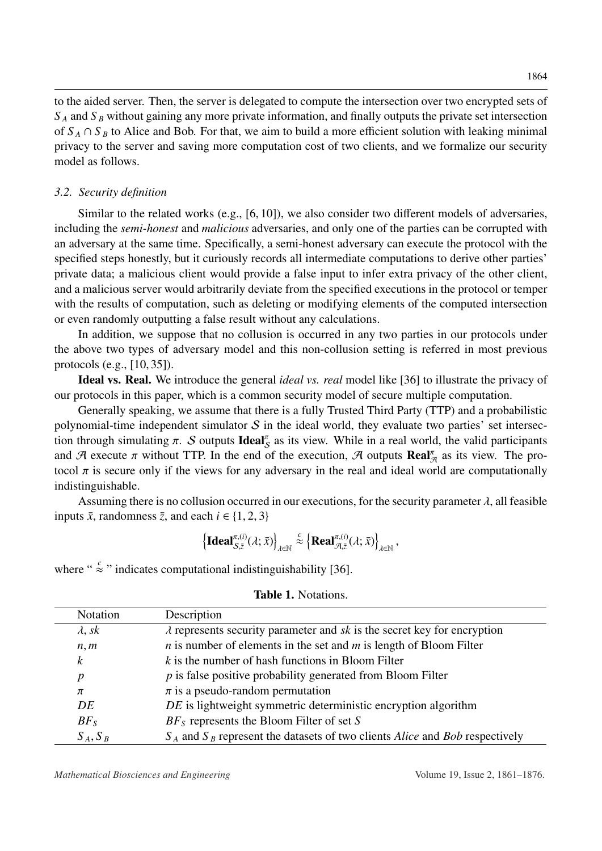to the aided server. Then, the server is delegated to compute the intersection over two encrypted sets of *S <sup>A</sup>* and *S <sup>B</sup>* without gaining any more private information, and finally outputs the private set intersection of  $S_A \cap S_B$  to Alice and Bob. For that, we aim to build a more efficient solution with leaking minimal privacy to the server and saving more computation cost of two clients, and we formalize our security model as follows.

#### *3.2. Security definition*

Similar to the related works (e.g., [\[6,](#page-13-6) [10\]](#page-14-2)), we also consider two different models of adversaries, including the *semi-honest* and *malicious* adversaries, and only one of the parties can be corrupted with an adversary at the same time. Specifically, a semi-honest adversary can execute the protocol with the specified steps honestly, but it curiously records all intermediate computations to derive other parties' private data; a malicious client would provide a false input to infer extra privacy of the other client, and a malicious server would arbitrarily deviate from the specified executions in the protocol or temper with the results of computation, such as deleting or modifying elements of the computed intersection or even randomly outputting a false result without any calculations.

In addition, we suppose that no collusion is occurred in any two parties in our protocols under the above two types of adversary model and this non-collusion setting is referred in most previous protocols (e.g., [\[10,](#page-14-2) [35\]](#page-15-10)).

Ideal vs. Real. We introduce the general *ideal vs. real* model like [\[36\]](#page-15-11) to illustrate the privacy of our protocols in this paper, which is a common security model of secure multiple computation.

Generally speaking, we assume that there is a fully Trusted Third Party (TTP) and a probabilistic polynomial-time independent simulator  $S$  in the ideal world, they evaluate two parties' set intersection through simulating  $\pi$ . S outputs **Ideal**<sub>S</sub> as its view. While in a real world, the valid participants<br>and  $\mathcal{B}$  execute  $\pi$  without TTP. In the end of the execution  $\mathcal{B}$  outputs  $\mathbf{Po}^{\mathsf{F}}$ , as its vie and A execute  $\pi$  without TTP. In the end of the execution, A outputs  $\text{Real}_{\mathcal{A}}^{\pi}$  as its view. The pro-<br>toool  $\pi$  is secure only if the views for any adversary in the real and ideal world are computationally tocol  $\pi$  is secure only if the views for any adversary in the real and ideal world are computationally indistinguishable.

Assuming there is no collusion occurred in our executions, for the security parameter  $\lambda$ , all feasible inputs  $\bar{x}$ , randomness  $\bar{z}$ , and each  $i \in \{1, 2, 3\}$ 

$$
\left\{\textbf{Ideal}_{\mathcal{S},\bar{z}}^{\pi,(i)}(\lambda;\bar{x})\right\}_{\lambda\in\mathbb{N}} \stackrel{c}{\approx}\left\{\textbf{Real}_{\mathcal{A},\bar{z}}^{\pi,(i)}(\lambda;\bar{x})\right\}_{\lambda\in\mathbb{N}},
$$

<span id="page-3-0"></span>where "  $\approx$  " indicates computational indistinguishability [\[36\]](#page-15-11).

| Notation       | Description                                                                                    |  |  |  |
|----------------|------------------------------------------------------------------------------------------------|--|--|--|
| $\lambda$ , sk | $\lambda$ represents security parameter and sk is the secret key for encryption                |  |  |  |
| n, m           | $n$ is number of elements in the set and $m$ is length of Bloom Filter                         |  |  |  |
| k              | $k$ is the number of hash functions in Bloom Filter                                            |  |  |  |
| p              | $p$ is false positive probability generated from Bloom Filter                                  |  |  |  |
| π              | $\pi$ is a pseudo-random permutation                                                           |  |  |  |
| DE             | DE is lightweight symmetric deterministic encryption algorithm                                 |  |  |  |
| $BF_S$         | $BFS$ represents the Bloom Filter of set S                                                     |  |  |  |
| $S_A, S_B$     | $S_A$ and $S_B$ represent the datasets of two clients <i>Alice</i> and <i>Bob</i> respectively |  |  |  |

#### Table 1. Notations.

*Mathematical Biosciences and Engineering*  $V$ olume 19, Issue 2, 1861–1876.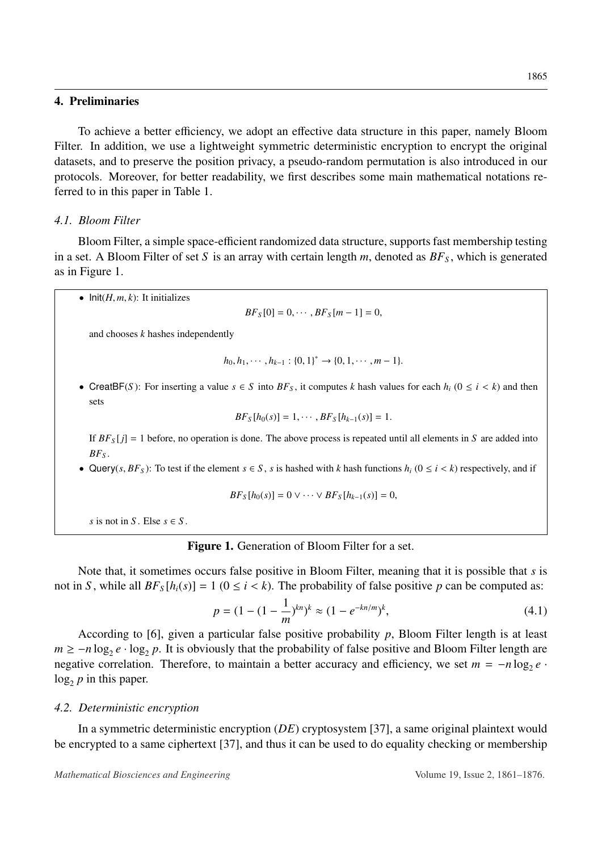### 4. Preliminaries

To achieve a better efficiency, we adopt an effective data structure in this paper, namely Bloom Filter. In addition, we use a lightweight symmetric deterministic encryption to encrypt the original datasets, and to preserve the position privacy, a pseudo-random permutation is also introduced in our protocols. Moreover, for better readability, we first describes some main mathematical notations referred to in this paper in Table [1.](#page-3-0)

### <span id="page-4-2"></span>*4.1. Bloom Filter*

Bloom Filter, a simple space-efficient randomized data structure, supports fast membership testing in a set. A Bloom Filter of set *S* is an array with certain length  $m$ , denoted as  $BF<sub>S</sub>$ , which is generated as in Figure [1.](#page-4-0)

<span id="page-4-0"></span>•  $Init(H, m, k)$ : It initializes

 $BF_S[0] = 0, \cdots, BF_S[m-1] = 0,$ 

and chooses *k* hashes independently

$$
h_0, h_1, \cdots, h_{k-1} : \{0, 1\}^* \to \{0, 1, \cdots, m-1\}.
$$

• CreatBF(*S*): For inserting a value  $s \in S$  into  $BF_s$ , it computes *k* hash values for each  $h_i$  ( $0 \le i \le k$ ) and then sets

$$
BF_{S}[h_0(s)] = 1, \cdots, BF_{S}[h_{k-1}(s)] = 1.
$$

If  $BF<sub>S</sub>[j] = 1$  before, no operation is done. The above process is repeated until all elements in *S* are added into *BF<sup>S</sup>* .

• Query(*s*,  $BF_S$ ): To test if the element  $s \in S$ , *s* is hashed with *k* hash functions  $h_i$  ( $0 \le i \le k$ ) respectively, and if

$$
BF_S[h_0(s)] = 0 \vee \cdots \vee BF_S[h_{k-1}(s)] = 0,
$$

*s* is not in *S*. Else  $s \in S$ .

#### Figure 1. Generation of Bloom Filter for a set.

Note that, it sometimes occurs false positive in Bloom Filter, meaning that it is possible that *s* is not in *S*, while all  $BF_s[h_i(s)] = 1$  ( $0 \le i \le k$ ). The probability of false positive *p* can be computed as:

<span id="page-4-1"></span>
$$
p = (1 - (1 - \frac{1}{m})^{kn})^k \approx (1 - e^{-kn/m})^k,
$$
\n(4.1)

According to [\[6\]](#page-13-6), given a particular false positive probability *p*, Bloom Filter length is at least  $m \ge -n \log_2 e \cdot \log_2 p$ . It is obviously that the probability of false positive and Bloom Filter length are negative correlation. Therefore, to maintain a better accuracy and efficiency, we set  $m = -n \log_2 e$ .  $log_2 p$  in this paper.

#### *4.2. Deterministic encryption*

In a symmetric deterministic encryption (*DE*) cryptosystem [\[37\]](#page-15-12), a same original plaintext would be encrypted to a same ciphertext [\[37\]](#page-15-12), and thus it can be used to do equality checking or membership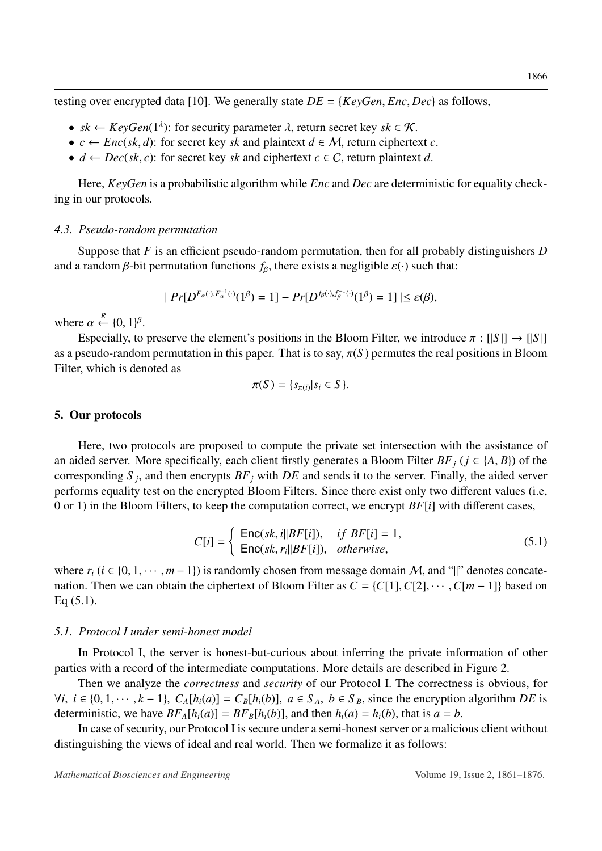testing over encrypted data [\[10\]](#page-14-2). We generally state  $DE = \{KeyGen, Enc, Dec\}$  as follows,

- $sk \leftarrow KeyGen(1^{\lambda})$ : for security parameter  $\lambda$ , return secret key  $sk \in \mathcal{K}$ .<br>•  $c \leftarrow Enc(\, sk \, d)$ : for secret key *sk* and plaintext  $d \in M$ , return cipherte
- $c \leftarrow Enc(sk, d)$ : for secret key *sk* and plaintext  $d \in M$ , return ciphertext *c*.
- $d \leftarrow Dec(sk, c)$ : for secret key *sk* and ciphertext  $c \in C$ , return plaintext *d*.

Here, *KeyGen* is a probabilistic algorithm while *Enc* and *Dec* are deterministic for equality checking in our protocols.

#### *4.3. Pseudo-random permutation*

Suppose that *F* is an efficient pseudo-random permutation, then for all probably distinguishers *D* and a random  $\beta$ -bit permutation functions  $f_\beta$ , there exists a negligible  $\varepsilon(\cdot)$  such that:

$$
|Pr[D^{F_{\alpha}(\cdot), F_{\alpha}^{-1}(\cdot)}(1^{\beta}) = 1] - Pr[D^{f_{\beta}(\cdot), f_{\beta}^{-1}(\cdot)}(1^{\beta}) = 1] | \le \varepsilon(\beta),
$$

where  $\alpha \stackrel{R}{\leftarrow} \{0, 1\}$ <br>**Reposi**bilized β .

Especially, to preserve the element's positions in the Bloom Filter, we introduce  $\pi : [S] \rightarrow [S]$ as a pseudo-random permutation in this paper. That is to say,  $\pi(S)$  permutes the real positions in Bloom Filter, which is denoted as

$$
\pi(S) = \{s_{\pi(i)} | s_i \in S\}.
$$

### 5. Our protocols

Here, two protocols are proposed to compute the private set intersection with the assistance of an aided server. More specifically, each client firstly generates a Bloom Filter  $BF_i$  ( $j \in \{A, B\}$ ) of the corresponding *S <sup>j</sup>* , and then encrypts *BF<sup>j</sup>* with *DE* and sends it to the server. Finally, the aided server performs equality test on the encrypted Bloom Filters. Since there exist only two different values (i.e, 0 or 1) in the Bloom Filters, to keep the computation correct, we encrypt *BF*[*i*] with different cases,

<span id="page-5-0"></span>
$$
C[i] = \begin{cases} \text{Enc}(sk, i||BF[i]), & if BF[i] = 1, \\ \text{Enc}(sk, r_i||BF[i]), & otherwise, \end{cases}
$$
 (5.1)

where  $r_i$  ( $i \in \{0, 1, \dots, m-1\}$ ) is randomly chosen from message domain M, and "||" denotes concatenation. Then we can obtain the ciphertext of Bloom Filter as  $C = \{C[1], C[2], \dots, C[m-1]\}$  based on Eq [\(5.1\)](#page-5-0).

#### *5.1. Protocol I under semi-honest model*

In Protocol I, the server is honest-but-curious about inferring the private information of other parties with a record of the intermediate computations. More details are described in Figure [2.](#page-6-0)

Then we analyze the *correctness* and *security* of our Protocol I. The correctness is obvious, for  $\forall i, i \in \{0, 1, \dots, k-1\}, C_A[h_i(a)] = C_B[h_i(b)], a \in S_A, b \in S_B$ , since the encryption algorithm DE is deterministic, we have  $BF_A[h_i(a)] = BF_B[h_i(b)]$ , and then  $h_i(a) = h_i(b)$ , that is  $a = b$ .

In case of security, our Protocol I is secure under a semi-honest server or a malicious client without distinguishing the views of ideal and real world. Then we formalize it as follows: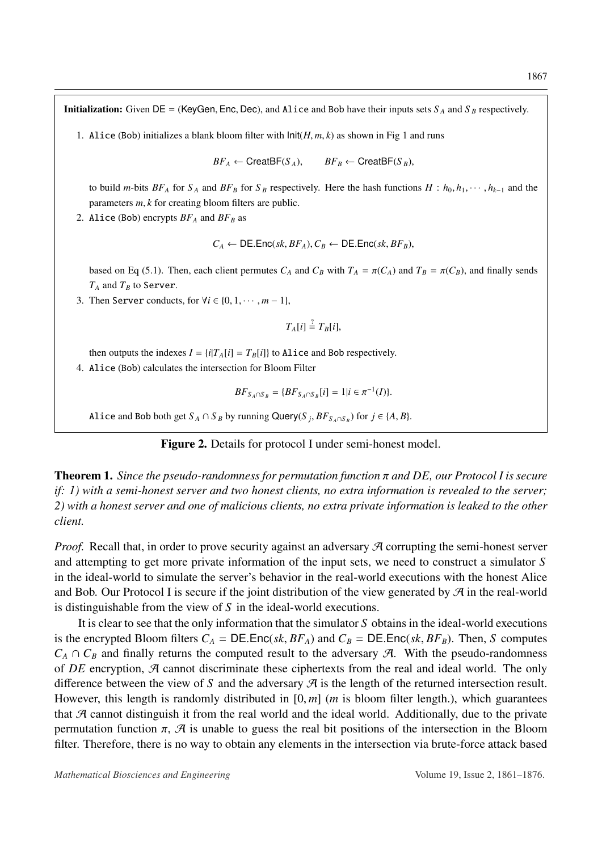<span id="page-6-0"></span>**Initialization:** Given  $DE = (KeyGen, Enc, Dec)$ , and Alice and Bob have their inputs sets  $S_A$  and  $S_B$  respectively.

[1](#page-4-0). Alice (Bob) initializes a blank bloom filter with  $\text{Init}(H, m, k)$  as shown in Fig 1 and runs

 $BF_A \leftarrow$  CreatBF( $S_A$ ),  $BF_B \leftarrow$  CreatBF( $S_B$ ),

to build *m*-bits  $BF_A$  for  $S_A$  and  $BF_B$  for  $S_B$  respectively. Here the hash functions  $H : h_0, h_1, \cdots, h_{k-1}$  and the parameters *<sup>m</sup>*, *<sup>k</sup>* for creating bloom filters are public.

2. Alice (Bob) encrypts  $BF_A$  and  $BF_B$  as

$$
C_A \leftarrow \mathsf{DE}.\mathsf{Enc}(sk, BF_A), C_B \leftarrow \mathsf{DE}.\mathsf{Enc}(sk, BF_B),
$$

based on Eq [\(5.1\)](#page-5-0). Then, each client permutes  $C_A$  and  $C_B$  with  $T_A = \pi(C_A)$  and  $T_B = \pi(C_B)$ , and finally sends  $T_A$  and  $T_B$  to Server.

3. Then Server conducts, for  $\forall i \in \{0, 1, \dots, m-1\},\$ 

$$
T_A[i] \stackrel{?}{=} T_B[i],
$$

then outputs the indexes  $I = \{i | T_A[i] = T_B[i]\}$  to Alice and Bob respectively.

4. Alice (Bob) calculates the intersection for Bloom Filter

$$
BF_{S_A \cap S_B} = \{BF_{S_A \cap S_B}[i] = 1 | i \in \pi^{-1}(I)\}.
$$

Alice and Bob both get  $S_A \cap S_B$  by running Query( $S_j$ ,  $BF_{S_A \cap S_B}$ ) for  $j \in \{A, B\}$ .

#### Figure 2. Details for protocol I under semi-honest model.

Theorem 1. *Since the pseudo-randomness for permutation function* π *and DE, our Protocol I is secure if: 1) with a semi-honest server and two honest clients, no extra information is revealed to the server; 2) with a honest server and one of malicious clients, no extra private information is leaked to the other client.*

*Proof.* Recall that, in order to prove security against an adversary  $\mathcal{A}$  corrupting the semi-honest server and attempting to get more private information of the input sets, we need to construct a simulator *S* in the ideal-world to simulate the server's behavior in the real-world executions with the honest Alice and Bob. Our Protocol I is secure if the joint distribution of the view generated by  $\mathcal A$  in the real-world is distinguishable from the view of *S* in the ideal-world executions.

It is clear to see that the only information that the simulator *S* obtains in the ideal-world executions is the encrypted Bloom filters  $C_A = DE.Enc(sk, BF_A)$  and  $C_B = DE.Enc(sk, BF_B)$ . Then, *S* computes  $C_A \cap C_B$  and finally returns the computed result to the adversary A. With the pseudo-randomness of *DE* encryption, A cannot discriminate these ciphertexts from the real and ideal world. The only difference between the view of S and the adversary  $\mathcal A$  is the length of the returned intersection result. However, this length is randomly distributed in [0, *<sup>m</sup>*] (*<sup>m</sup>* is bloom filter length.), which guarantees that  $A$  cannot distinguish it from the real world and the ideal world. Additionally, due to the private permutation function  $\pi$ ,  $\mathcal{A}$  is unable to guess the real bit positions of the intersection in the Bloom filter. Therefore, there is no way to obtain any elements in the intersection via brute-force attack based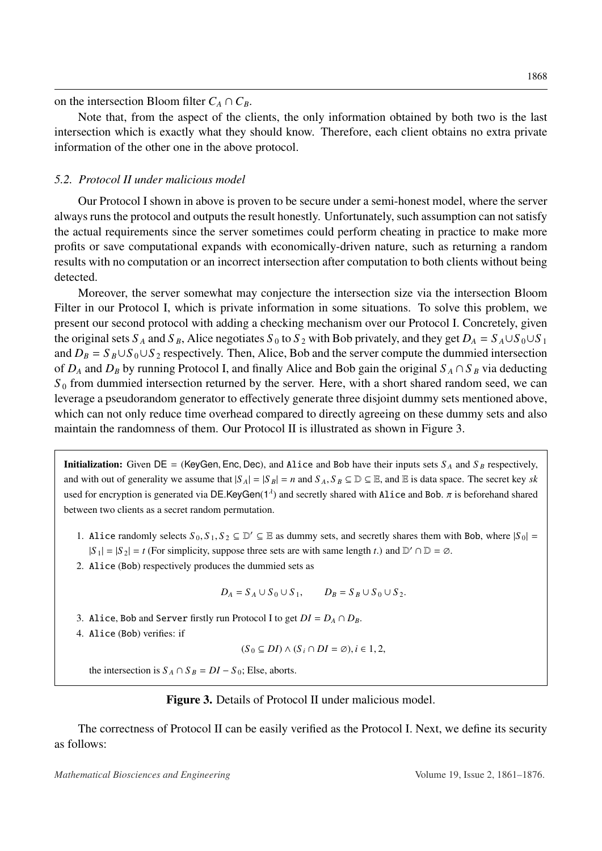on the intersection Bloom filter  $C_A \cap C_B$ .

Note that, from the aspect of the clients, the only information obtained by both two is the last intersection which is exactly what they should know. Therefore, each client obtains no extra private information of the other one in the above protocol.

### *5.2. Protocol II under malicious model*

Our Protocol I shown in above is proven to be secure under a semi-honest model, where the server always runs the protocol and outputs the result honestly. Unfortunately, such assumption can not satisfy the actual requirements since the server sometimes could perform cheating in practice to make more profits or save computational expands with economically-driven nature, such as returning a random results with no computation or an incorrect intersection after computation to both clients without being detected.

Moreover, the server somewhat may conjecture the intersection size via the intersection Bloom Filter in our Protocol I, which is private information in some situations. To solve this problem, we present our second protocol with adding a checking mechanism over our Protocol I. Concretely, given the original sets  $S_A$  and  $S_B$ , Alice negotiates  $S_0$  to  $S_2$  with Bob privately, and they get  $D_A = S_A \cup S_0 \cup S_1$ and  $D_B = S_B \cup S_0 \cup S_2$  respectively. Then, Alice, Bob and the server compute the dummied intersection of  $D_A$  and  $D_B$  by running Protocol I, and finally Alice and Bob gain the original  $S_A \cap S_B$  via deducting  $S_0$  from dummied intersection returned by the server. Here, with a short shared random seed, we can leverage a pseudorandom generator to effectively generate three disjoint dummy sets mentioned above, which can not only reduce time overhead compared to directly agreeing on these dummy sets and also maintain the randomness of them. Our Protocol II is illustrated as shown in Figure [3.](#page-7-0)

<span id="page-7-0"></span>**Initialization:** Given  $DE = (KeyGen, Enc, Dec)$ , and Alice and Bob have their inputs sets  $S_A$  and  $S_B$  respectively, and with out of generality we assume that  $|S_A| = |S_B| = n$  and  $S_A$ ,  $S_B \subseteq \mathbb{D} \subseteq \mathbb{E}$ , and  $\mathbb{E}$  is data space. The secret key *sk* used for encryption is generated via DE.KeyGen( $1^{\lambda}$ ) and secretly shared with Alice and Bob.  $\pi$  is beforehand shared between two clients as a secret random permutation.

- 1. Alice randomly selects  $S_0$ ,  $S_1$ ,  $S_2 \subseteq \mathbb{D}' \subseteq \mathbb{E}$  as dummy sets, and secretly shares them with Bob, where  $|S_0| =$  $|S_1| = |S_2| = t$  (For simplicity, suppose three sets are with same length *t*.) and  $D' \cap D = \emptyset$ .
- 2. Alice (Bob) respectively produces the dummied sets as

$$
D_A = S_A \cup S_0 \cup S_1, \qquad D_B = S_B \cup S_0 \cup S_2.
$$

- 3. Alice, Bob and Server firstly run Protocol I to get  $DI = D_A \cap D_B$ .
- 4. Alice (Bob) verifies: if

$$
(S_0 \subseteq DI) \land (S_i \cap DI = \emptyset), i \in 1,2,
$$

the intersection is  $S_A \cap S_B = DI - S_0$ ; Else, aborts.

#### Figure 3. Details of Protocol II under malicious model.

The correctness of Protocol II can be easily verified as the Protocol I. Next, we define its security as follows: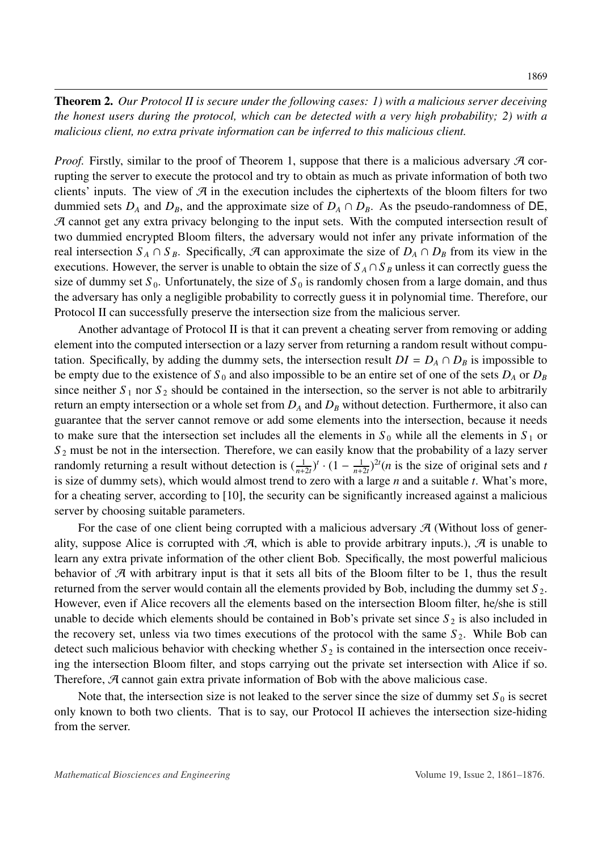Theorem 2. *Our Protocol II is secure under the following cases: 1) with a malicious server deceiving the honest users during the protocol, which can be detected with a very high probability; 2) with a malicious client, no extra private information can be inferred to this malicious client.*

*Proof.* Firstly, similar to the proof of Theorem 1, suppose that there is a malicious adversary  $\mathcal A$  corrupting the server to execute the protocol and try to obtain as much as private information of both two clients' inputs. The view of  $\mathcal A$  in the execution includes the ciphertexts of the bloom filters for two dummied sets  $D_A$  and  $D_B$ , and the approximate size of  $D_A \cap D_B$ . As the pseudo-randomness of DE, A cannot get any extra privacy belonging to the input sets. With the computed intersection result of two dummied encrypted Bloom filters, the adversary would not infer any private information of the real intersection  $S_A \cap S_B$ . Specifically, A can approximate the size of  $D_A \cap D_B$  from its view in the executions. However, the server is unable to obtain the size of  $S_A \cap S_B$  unless it can correctly guess the size of dummy set  $S_0$ . Unfortunately, the size of  $S_0$  is randomly chosen from a large domain, and thus the adversary has only a negligible probability to correctly guess it in polynomial time. Therefore, our Protocol II can successfully preserve the intersection size from the malicious server.

Another advantage of Protocol II is that it can prevent a cheating server from removing or adding element into the computed intersection or a lazy server from returning a random result without computation. Specifically, by adding the dummy sets, the intersection result  $DI = D_A \cap D_B$  is impossible to be empty due to the existence of  $S_0$  and also impossible to be an entire set of one of the sets  $D_A$  or  $D_B$ since neither  $S_1$  nor  $S_2$  should be contained in the intersection, so the server is not able to arbitrarily return an empty intersection or a whole set from *D<sup>A</sup>* and *D<sup>B</sup>* without detection. Furthermore, it also can guarantee that the server cannot remove or add some elements into the intersection, because it needs to make sure that the intersection set includes all the elements in  $S_0$  while all the elements in  $S_1$  or *S* <sup>2</sup> must be not in the intersection. Therefore, we can easily know that the probability of a lazy server randomly returning a result without detection is  $\left(\frac{1}{n+2t}\right)^t \cdot (1 - \frac{1}{n+2t})$  $\frac{1}{n+2t}$ <sup>2*t*</sup>(*n* is the size of original sets and *t* is size of dummy sets), which would almost trend to zero with a large *n* and a suitable *t*. What's more, for a cheating server, according to [\[10\]](#page-14-2), the security can be significantly increased against a malicious server by choosing suitable parameters.

For the case of one client being corrupted with a malicious adversary  $\mathcal{A}$  (Without loss of generality, suppose Alice is corrupted with  $\mathcal{A}$ , which is able to provide arbitrary inputs.),  $\mathcal{A}$  is unable to learn any extra private information of the other client Bob. Specifically, the most powerful malicious behavior of  $\mathcal A$  with arbitrary input is that it sets all bits of the Bloom filter to be 1, thus the result returned from the server would contain all the elements provided by Bob, including the dummy set *S* <sup>2</sup>. However, even if Alice recovers all the elements based on the intersection Bloom filter, he/she is still unable to decide which elements should be contained in Bob's private set since  $S_2$  is also included in the recovery set, unless via two times executions of the protocol with the same  $S_2$ . While Bob can detect such malicious behavior with checking whether  $S_2$  is contained in the intersection once receiving the intersection Bloom filter, and stops carrying out the private set intersection with Alice if so. Therefore, A cannot gain extra private information of Bob with the above malicious case.

Note that, the intersection size is not leaked to the server since the size of dummy set  $S_0$  is secret only known to both two clients. That is to say, our Protocol II achieves the intersection size-hiding from the server.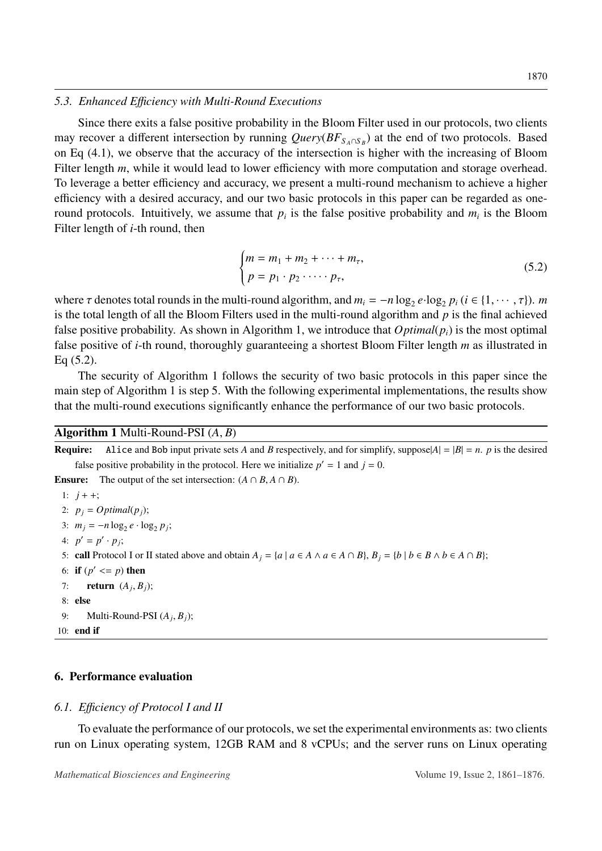#### *5.3. Enhanced E*ffi*ciency with Multi-Round Executions*

Since there exits a false positive probability in the Bloom Filter used in our protocols, two clients may recover a different intersection by running *Query*( $BF_{S_A \cap S_B}$ ) at the end of two protocols. Based on Eq [\(4.1\)](#page-4-1), we observe that the accuracy of the intersection is higher with the increasing of Bloom Filter length *m*, while it would lead to lower efficiency with more computation and storage overhead. To leverage a better efficiency and accuracy, we present a multi-round mechanism to achieve a higher efficiency with a desired accuracy, and our two basic protocols in this paper can be regarded as oneround protocols. Intuitively, we assume that  $p_i$  is the false positive probability and  $m_i$  is the Bloom Filter length of *i*-th round, then

<span id="page-9-1"></span>
$$
\begin{cases} m = m_1 + m_2 + \dots + m_\tau, \\ p = p_1 \cdot p_2 \cdot \dots \cdot p_\tau, \end{cases} \tag{5.2}
$$

where  $\tau$  denotes total rounds in the multi-round algorithm, and  $m_i = -n \log_2 e \cdot \log_2 p_i$  ( $i \in \{1, \dots, \tau\}$ ). *m* is the total length of all the Bloom Filters used in the multi-round algorithm and *n* is the final achieved is the total length of all the Bloom Filters used in the multi-round algorithm and *p* is the final achieved false positive probability. As shown in Algorithm [1,](#page-9-0) we introduce that  $Optimal(p_i)$  is the most optimal false positive of *i*-th round, thoroughly guaranteeing a shortest Bloom Filter length *m* as illustrated in Eq [\(5.2\)](#page-9-1).

The security of Algorithm [1](#page-9-0) follows the security of two basic protocols in this paper since the main step of Algorithm [1](#page-9-0) is step [5.](#page-9-2) With the following experimental implementations, the results show that the multi-round executions significantly enhance the performance of our two basic protocols.

### Algorithm 1 Multi-Round-PSI (*A*, *<sup>B</sup>*)

**Require:** Alice and Bob input private sets *A* and *B* respectively, and for simplify, suppose $|A| = |B| = n$ . *p* is the desired false positive probability in the protocol. Here we initialize  $p' = 1$  and  $j = 0$ . **Ensure:** The output of the set intersection:  $(A \cap B, A \cap B)$ . 1:  $j + +$ ; 2:  $p_i = Optimal(p_i);$ 3:  $m_j = -n \log_2 e \cdot \log_2 p_j$ ; 4:  $p' = p' \cdot p_j$ ; 5: call Protocol I or II stated above and obtain  $A_i = \{a \mid a \in A \land a \in A \cap B\}$ ,  $B_i = \{b \mid b \in B \land b \in A \cap B\}$ ; 6: **if**  $(p' \le p)$  then 7: **return**  $(A_j, B_j);$ 8: else

```
9: Multi-Round-PSI (A_j, B_j);
10: end if
```
## 6. Performance evaluation

### *6.1. E*ffi*ciency of Protocol I and II*

To evaluate the performance of our protocols, we set the experimental environments as: two clients run on Linux operating system, 12GB RAM and 8 vCPUs; and the server runs on Linux operating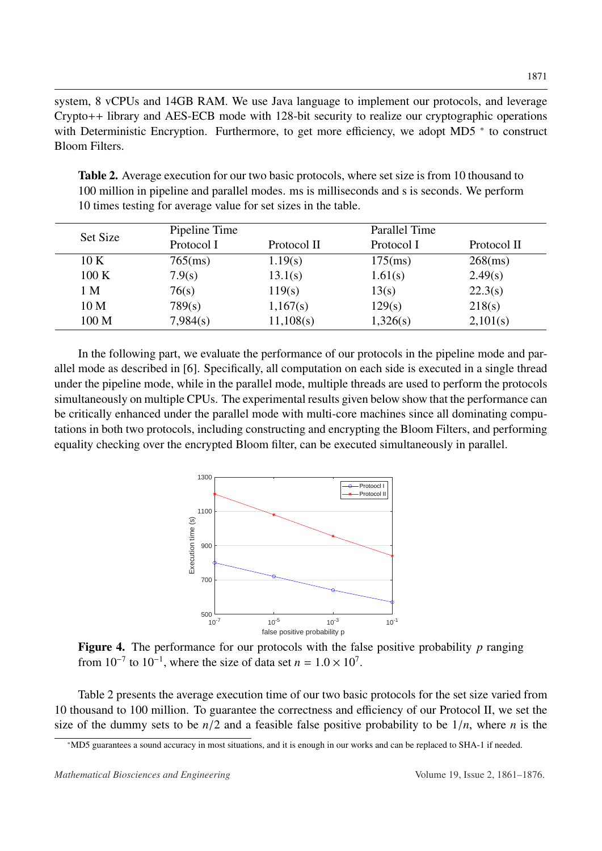system, 8 vCPUs and 14GB RAM. We use Java language to implement our protocols, and leverage Crypto++ library and AES-ECB mode with 128-bit security to realize our cryptographic operations with Deterministic Encryption. Furthermore, to get more efficiency, we adopt MD5  $*$  to construct Bloom Filters.

<span id="page-10-1"></span>Table 2. Average execution for our two basic protocols, where set size is from 10 thousand to 100 million in pipeline and parallel modes. ms is milliseconds and s is seconds. We perform 10 times testing for average value for set sizes in the table.

| Set Size        | Pipeline Time |             | Parallel Time |             |
|-----------------|---------------|-------------|---------------|-------------|
|                 | Protocol I    | Protocol II | Protocol I    | Protocol II |
| 10K             | $765$ (ms)    | 1.19(s)     | $175$ (ms)    | $268$ (ms)  |
| 100K            | 7.9(s)        | 13.1(s)     | 1.61(s)       | 2.49(s)     |
| 1 M             | 76(s)         | 119(s)      | 13(s)         | 22.3(s)     |
| 10 <sub>M</sub> | 789(s)        | 1,167(s)    | 129(s)        | 218(s)      |
| 100 M           | 7,984(s)      | 11,108(s)   | 1,326(s)      | 2,101(s)    |

<span id="page-10-2"></span>In the following part, we evaluate the performance of our protocols in the pipeline mode and parallel mode as described in [\[6\]](#page-13-6). Specifically, all computation on each side is executed in a single thread under the pipeline mode, while in the parallel mode, multiple threads are used to perform the protocols simultaneously on multiple CPUs. The experimental results given below show that the performance can be critically enhanced under the parallel mode with multi-core machines since all dominating computations in both two protocols, including constructing and encrypting the Bloom Filters, and performing equality checking over the encrypted Bloom filter, can be executed simultaneously in parallel.



Figure 4. The performance for our protocols with the false positive probability *p* ranging from  $10^{-7}$  to  $10^{-1}$ , where the size of data set  $n = 1.0 \times 10^{7}$ .

Table [2](#page-10-1) presents the average execution time of our two basic protocols for the set size varied from 10 thousand to 100 million. To guarantee the correctness and efficiency of our Protocol II, we set the size of the dummy sets to be  $n/2$  and a feasible false positive probability to be  $1/n$ , where *n* is the

<span id="page-10-0"></span><sup>\*</sup>MD5 guarantees a sound accuracy in most situations, and it is enough in our works and can be replaced to SHA-1 if needed.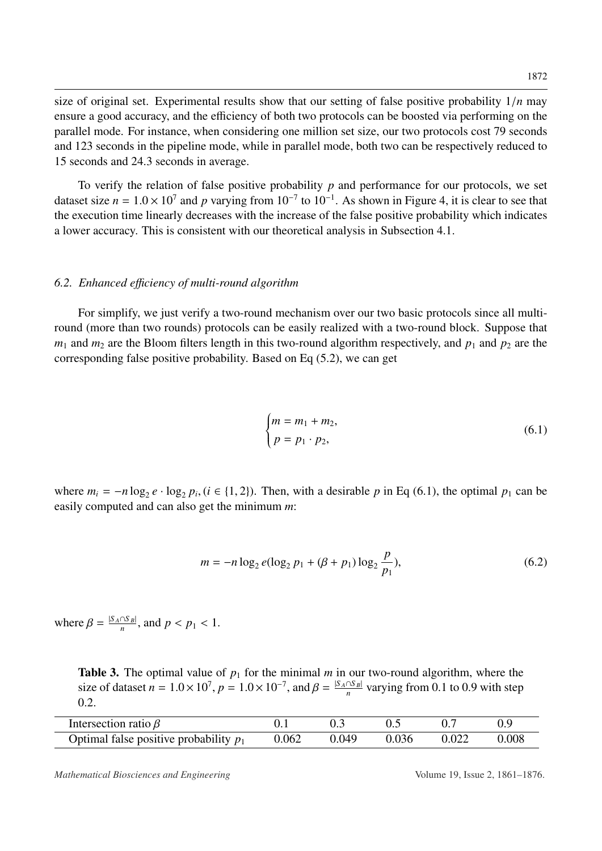size of original set. Experimental results show that our setting of false positive probability 1/*<sup>n</sup>* may ensure a good accuracy, and the efficiency of both two protocols can be boosted via performing on the parallel mode. For instance, when considering one million set size, our two protocols cost 79 seconds and 123 seconds in the pipeline mode, while in parallel mode, both two can be respectively reduced to 15 seconds and 24.3 seconds in average.

To verify the relation of false positive probability  $p$  and performance for our protocols, we set dataset size  $n = 1.0 \times 10^7$  and  $p$  varying from  $10^{-7}$  to  $10^{-1}$ . As shown in Figure [4,](#page-10-2) it is clear to see that the execution time linearly decreases with the increase of the false positive probability which indicates the execution time linearly decreases with the increase of the false positive probability which indicates a lower accuracy. This is consistent with our theoretical analysis in Subsection [4.1.](#page-4-2)

#### *6.2. Enhanced e*ffi*ciency of multi-round algorithm*

For simplify, we just verify a two-round mechanism over our two basic protocols since all multiround (more than two rounds) protocols can be easily realized with a two-round block. Suppose that  $m_1$  and  $m_2$  are the Bloom filters length in this two-round algorithm respectively, and  $p_1$  and  $p_2$  are the corresponding false positive probability. Based on Eq [\(5.2\)](#page-9-1), we can get

<span id="page-11-0"></span>
$$
\begin{cases} m = m_1 + m_2, \\ p = p_1 \cdot p_2, \end{cases} \tag{6.1}
$$

where  $m_i = -n \log_2 e \cdot \log_2 p_i$ , ( $i \in \{1, 2\}$ ). Then, with a desirable *p* in Eq [\(6.1\)](#page-11-0), the optimal  $p_1$  can be easily computed and can also get the minimum *m*: easily computed and can also get the minimum *m*:

<span id="page-11-2"></span>
$$
m = -n \log_2 e(\log_2 p_1 + (\beta + p_1) \log_2 \frac{p}{p_1}),\tag{6.2}
$$

where  $\beta = \frac{|S_A \cap S_B|}{n}$  $\frac{f(S_B)}{n}$ , and  $p < p_1 < 1$ .

<span id="page-11-1"></span>**Table 3.** The optimal value of  $p_1$  for the minimal *m* in our two-round algorithm, where the size of dataset  $n = 1.0 \times 10^7$ ,  $p = 1.0 \times 10^{-7}$ , and  $\beta = \frac{|S_A \cap S_B|}{n}$  $\frac{n}{n}$  varying from 0.1 to 0.9 with step 0.2.

| Intersection ratio $\beta$               |       |       |       |       |       |
|------------------------------------------|-------|-------|-------|-------|-------|
| Optimal false positive probability $p_1$ | 0.062 | 0.049 | 0.036 | 0.022 | 0.008 |

*Mathematical Biosciences and Engineering* Volume 19, Issue 2, 1861–1876.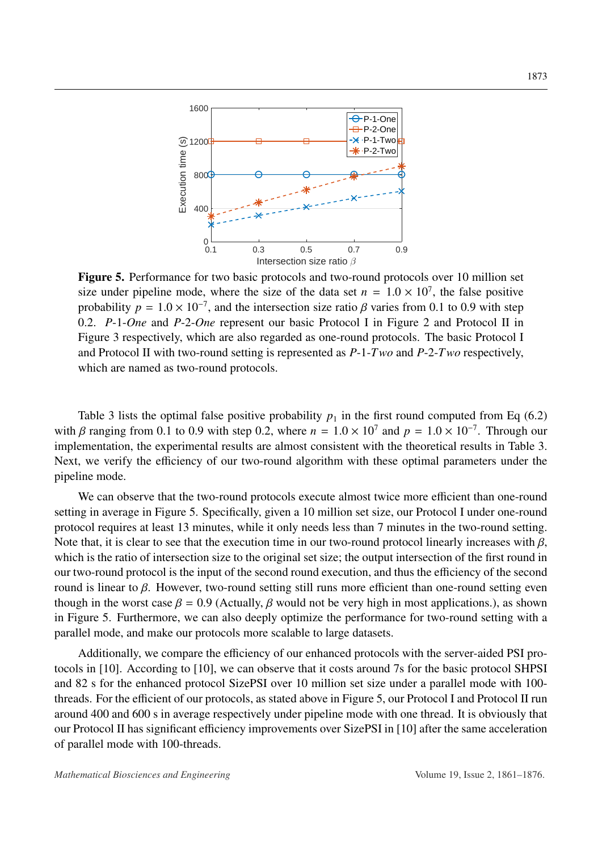<span id="page-12-0"></span>

Figure 5. Performance for two basic protocols and two-round protocols over 10 million set size under pipeline mode, where the size of the data set  $n = 1.0 \times 10^7$ , the false positive<br>probability  $n = 1.0 \times 10^{-7}$  and the intersection size ratio *6* varies from 0.1 to 0.9 with step probability  $p = 1.0 \times 10^{-7}$ , and the intersection size ratio  $\beta$  varies from 0.1 to 0.9 with step<br>0.2. P-1-One and P-2-One represent our basic Protocol Lin Figure 2 and Protocol II in 0.2. *P*-1-*One* and *P*-2-*One* represent our basic Protocol I in Figure [2](#page-6-0) and Protocol II in Figure [3](#page-7-0) respectively, which are also regarded as one-round protocols. The basic Protocol I and Protocol II with two-round setting is represented as *P*-1-*Two* and *P*-2-*Two* respectively, which are named as two-round protocols.

Table [3](#page-11-1) lists the optimal false positive probability  $p_1$  in the first round computed from Eq [\(6.2\)](#page-11-2) with β ranging from 0.1 to 0.9 with step 0.2, where  $n = 1.0 \times 10^7$  and  $p = 1.0 \times 10^{-7}$ . Through our implementation, the experimental results are almost consistent with the theoretical results in Table 3. implementation, the experimental results are almost consistent with the theoretical results in Table [3.](#page-11-1) Next, we verify the efficiency of our two-round algorithm with these optimal parameters under the pipeline mode.

We can observe that the two-round protocols execute almost twice more efficient than one-round setting in average in Figure [5.](#page-12-0) Specifically, given a 10 million set size, our Protocol I under one-round protocol requires at least 13 minutes, while it only needs less than 7 minutes in the two-round setting. Note that, it is clear to see that the execution time in our two-round protocol linearly increases with  $\beta$ , which is the ratio of intersection size to the original set size; the output intersection of the first round in our two-round protocol is the input of the second round execution, and thus the efficiency of the second round is linear to β. However, two-round setting still runs more efficient than one-round setting even though in the worst case  $\beta = 0.9$  (Actually,  $\beta$  would not be very high in most applications.), as shown in Figure [5.](#page-12-0) Furthermore, we can also deeply optimize the performance for two-round setting with a parallel mode, and make our protocols more scalable to large datasets.

Additionally, we compare the efficiency of our enhanced protocols with the server-aided PSI protocols in [\[10\]](#page-14-2). According to [\[10\]](#page-14-2), we can observe that it costs around 7s for the basic protocol SHPSI and 82 s for the enhanced protocol SizePSI over 10 million set size under a parallel mode with 100 threads. For the efficient of our protocols, as stated above in Figure [5,](#page-12-0) our Protocol I and Protocol II run around 400 and 600 s in average respectively under pipeline mode with one thread. It is obviously that our Protocol II has significant efficiency improvements over SizePSI in [\[10\]](#page-14-2) after the same acceleration of parallel mode with 100-threads.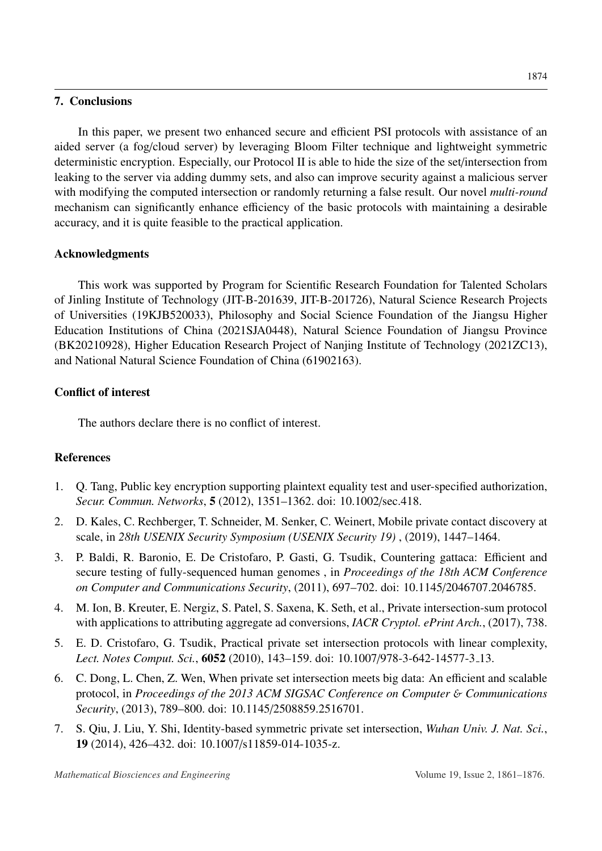### 7. Conclusions

In this paper, we present two enhanced secure and efficient PSI protocols with assistance of an aided server (a fog/cloud server) by leveraging Bloom Filter technique and lightweight symmetric deterministic encryption. Especially, our Protocol II is able to hide the size of the set/intersection from leaking to the server via adding dummy sets, and also can improve security against a malicious server with modifying the computed intersection or randomly returning a false result. Our novel *multi-round* mechanism can significantly enhance efficiency of the basic protocols with maintaining a desirable accuracy, and it is quite feasible to the practical application.

## Acknowledgments

This work was supported by Program for Scientific Research Foundation for Talented Scholars of Jinling Institute of Technology (JIT-B-201639, JIT-B-201726), Natural Science Research Projects of Universities (19KJB520033), Philosophy and Social Science Foundation of the Jiangsu Higher Education Institutions of China (2021SJA0448), Natural Science Foundation of Jiangsu Province (BK20210928), Higher Education Research Project of Nanjing Institute of Technology (2021ZC13), and National Natural Science Foundation of China (61902163).

## Conflict of interest

The authors declare there is no conflict of interest.

## References

- <span id="page-13-0"></span>1. Q. Tang, Public key encryption supporting plaintext equality test and user-specified authorization, *Secur. Commun. Networks*, 5 (2012), 1351–1362. doi: 10.1002/sec.418.
- <span id="page-13-1"></span>2. D. Kales, C. Rechberger, T. Schneider, M. Senker, C. Weinert, Mobile private contact discovery at scale, in *28th USENIX Security Symposium (USENIX Security 19)* , (2019), 1447–1464.
- <span id="page-13-2"></span>3. P. Baldi, R. Baronio, E. De Cristofaro, P. Gasti, G. Tsudik, Countering gattaca: Efficient and secure testing of fully-sequenced human genomes , in *Proceedings of the 18th ACM Conference on Computer and Communications Security*, (2011), 697–702. doi: 10.1145/2046707.2046785.
- <span id="page-13-3"></span>4. M. Ion, B. Kreuter, E. Nergiz, S. Patel, S. Saxena, K. Seth, et al., Private intersection-sum protocol with applications to attributing aggregate ad conversions, *IACR Cryptol. ePrint Arch.*, (2017), 738.
- <span id="page-13-4"></span>5. E. D. Cristofaro, G. Tsudik, Practical private set intersection protocols with linear complexity, *Lect. Notes Comput. Sci.*, 6052 (2010), 143–159. doi: 10.1007/978-3-642-14577-3 13.
- <span id="page-13-6"></span>6. C. Dong, L. Chen, Z. Wen, When private set intersection meets big data: An efficient and scalable protocol, in *Proceedings of the 2013 ACM SIGSAC Conference on Computer* & *Communications Security*, (2013), 789–800. doi: 10.1145/2508859.2516701.
- <span id="page-13-5"></span>7. S. Qiu, J. Liu, Y. Shi, Identity-based symmetric private set intersection, *Wuhan Univ. J. Nat. Sci.*, 19 (2014), 426–432. doi: 10.1007/s11859-014-1035-z.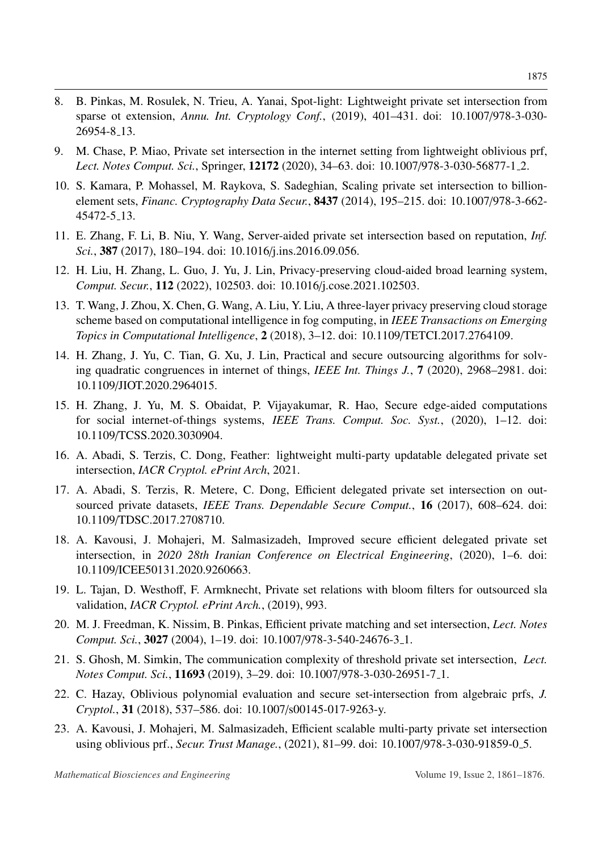- <span id="page-14-0"></span>8. B. Pinkas, M. Rosulek, N. Trieu, A. Yanai, Spot-light: Lightweight private set intersection from sparse ot extension, *Annu. Int. Cryptology Conf.*, (2019), 401–431. doi: 10.1007/978-3-030- 26954-8 13.
- <span id="page-14-1"></span>9. M. Chase, P. Miao, Private set intersection in the internet setting from lightweight oblivious prf, *Lect. Notes Comput. Sci.*, Springer, 12172 (2020), 34–63. doi: 10.1007/978-3-030-56877-1 2.
- <span id="page-14-2"></span>10. S. Kamara, P. Mohassel, M. Raykova, S. Sadeghian, Scaling private set intersection to billionelement sets, *Financ. Cryptography Data Secur.*, 8437 (2014), 195–215. doi: 10.1007/978-3-662- 45472-5 13.
- <span id="page-14-3"></span>11. E. Zhang, F. Li, B. Niu, Y. Wang, Server-aided private set intersection based on reputation, *Inf. Sci.*, 387 (2017), 180–194. doi: 10.1016/j.ins.2016.09.056.
- <span id="page-14-4"></span>12. H. Liu, H. Zhang, L. Guo, J. Yu, J. Lin, Privacy-preserving cloud-aided broad learning system, *Comput. Secur.*, 112 (2022), 102503. doi: 10.1016/j.cose.2021.102503.
- 13. T. Wang, J. Zhou, X. Chen, G. Wang, A. Liu, Y. Liu, A three-layer privacy preserving cloud storage scheme based on computational intelligence in fog computing, in *IEEE Transactions on Emerging Topics in Computational Intelligence*, 2 (2018), 3–12. doi: 10.1109/TETCI.2017.2764109.
- 14. H. Zhang, J. Yu, C. Tian, G. Xu, J. Lin, Practical and secure outsourcing algorithms for solving quadratic congruences in internet of things, *IEEE Int. Things J.*, 7 (2020), 2968–2981. doi: 10.1109/JIOT.2020.2964015.
- <span id="page-14-5"></span>15. H. Zhang, J. Yu, M. S. Obaidat, P. Vijayakumar, R. Hao, Secure edge-aided computations for social internet-of-things systems, *IEEE Trans. Comput. Soc. Syst.*, (2020), 1–12. doi: 10.1109/TCSS.2020.3030904.
- <span id="page-14-6"></span>16. A. Abadi, S. Terzis, C. Dong, Feather: lightweight multi-party updatable delegated private set intersection, *IACR Cryptol. ePrint Arch*, 2021.
- 17. A. Abadi, S. Terzis, R. Metere, C. Dong, Efficient delegated private set intersection on outsourced private datasets, *IEEE Trans. Dependable Secure Comput.*, 16 (2017), 608–624. doi: 10.1109/TDSC.2017.2708710.
- <span id="page-14-12"></span>18. A. Kavousi, J. Mohajeri, M. Salmasizadeh, Improved secure efficient delegated private set intersection, in *2020 28th Iranian Conference on Electrical Engineering*, (2020), 1–6. doi: 10.1109/ICEE50131.2020.9260663.
- <span id="page-14-7"></span>19. L. Tajan, D. Westhoff, F. Armknecht, Private set relations with bloom filters for outsourced sla validation, *IACR Cryptol. ePrint Arch.*, (2019), 993.
- <span id="page-14-8"></span>20. M. J. Freedman, K. Nissim, B. Pinkas, Efficient private matching and set intersection, *Lect. Notes Comput. Sci.*, 3027 (2004), 1–19. doi: 10.1007/978-3-540-24676-3 1.
- <span id="page-14-9"></span>21. S. Ghosh, M. Simkin, The communication complexity of threshold private set intersection, *Lect. Notes Comput. Sci.*, 11693 (2019), 3–29. doi: 10.1007/978-3-030-26951-7 1.
- <span id="page-14-10"></span>22. C. Hazay, Oblivious polynomial evaluation and secure set-intersection from algebraic prfs, *J. Cryptol.*, 31 (2018), 537–586. doi: 10.1007/s00145-017-9263-y.
- <span id="page-14-11"></span>23. A. Kavousi, J. Mohajeri, M. Salmasizadeh, Efficient scalable multi-party private set intersection using oblivious prf., *Secur. Trust Manage.*, (2021), 81–99. doi: 10.1007/978-3-030-91859-0 5.